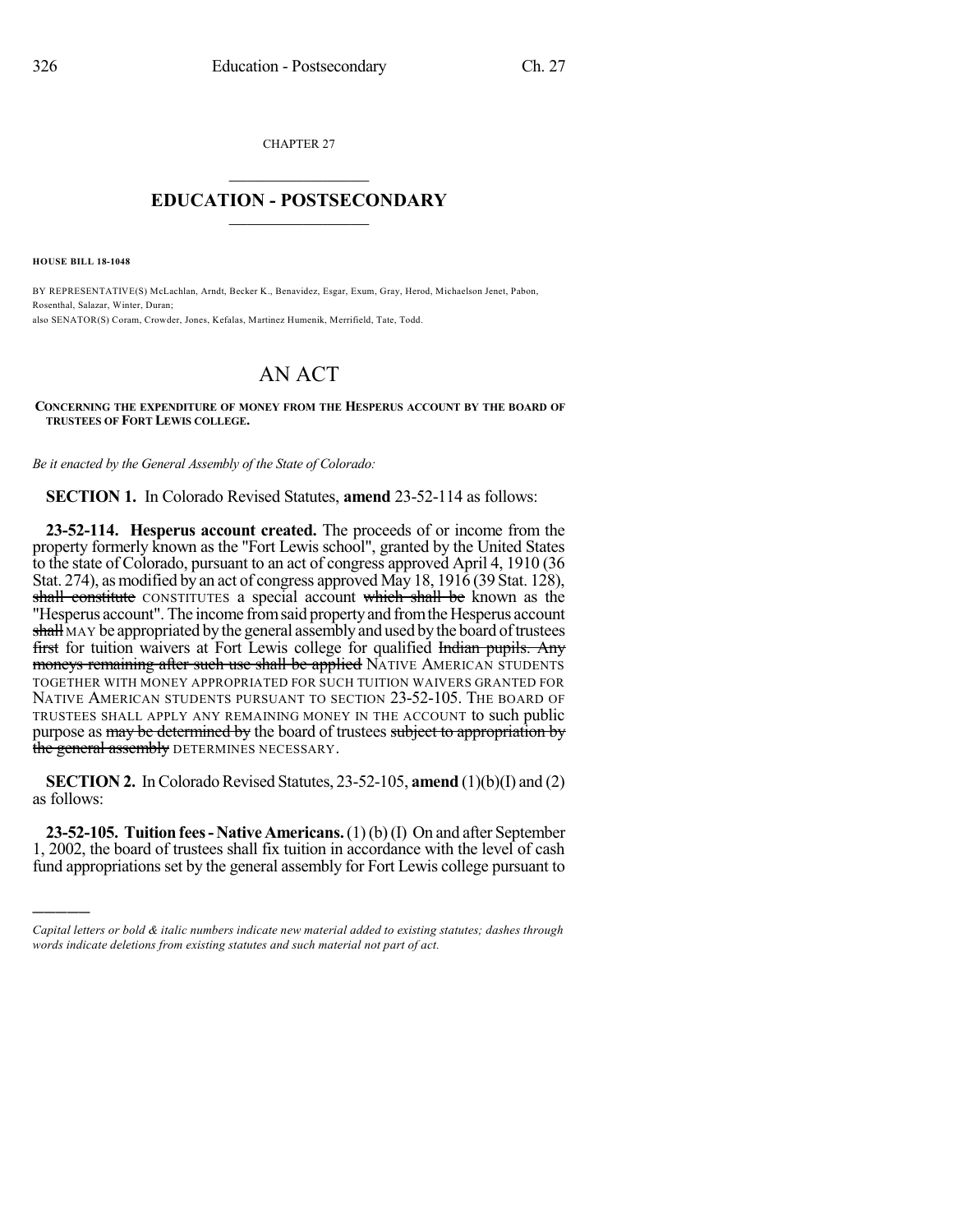CHAPTER 27  $\overline{\phantom{a}}$  . The set of the set of the set of the set of the set of the set of the set of the set of the set of the set of the set of the set of the set of the set of the set of the set of the set of the set of the set o

## **EDUCATION - POSTSECONDARY**  $\_$   $\_$   $\_$   $\_$   $\_$   $\_$   $\_$   $\_$   $\_$

**HOUSE BILL 18-1048**

)))))

BY REPRESENTATIVE(S) McLachlan, Arndt, Becker K., Benavidez, Esgar, Exum, Gray, Herod, Michaelson Jenet, Pabon, Rosenthal, Salazar, Winter, Duran; also SENATOR(S) Coram, Crowder, Jones, Kefalas, Martinez Humenik, Merrifield, Tate, Todd.

## AN ACT

**CONCERNING THE EXPENDITURE OF MONEY FROM THE HESPERUS ACCOUNT BY THE BOARD OF TRUSTEES OF FORT LEWIS COLLEGE.**

*Be it enacted by the General Assembly of the State of Colorado:*

**SECTION 1.** In Colorado Revised Statutes, **amend** 23-52-114 as follows:

**23-52-114. Hesperus account created.** The proceeds of or income from the property formerly known as the "Fort Lewis school", granted by the United States to the state of Colorado, pursuant to an act of congress approved April 4, 1910 (36 Stat. 274), as modified by an act of congress approved May 18, 1916 (39 Stat. 128), shall constitute CONSTITUTES a special account which shall be known as the "Hesperus account". The income from said property and from the Hesperus account shall MAY be appropriated by the general assembly and used by the board of trustees first for tuition waivers at Fort Lewis college for qualified Indian pupils. Any moneys remaining after such use shall be applied NATIVE AMERICAN STUDENTS TOGETHER WITH MONEY APPROPRIATED FOR SUCH TUITION WAIVERS GRANTED FOR NATIVE AMERICAN STUDENTS PURSUANT TO SECTION 23-52-105. THE BOARD OF TRUSTEES SHALL APPLY ANY REMAINING MONEY IN THE ACCOUNT to such public purpose as may be determined by the board of trustees subject to appropriation by the general assembly DETERMINES NECESSARY.

**SECTION 2.** In Colorado Revised Statutes,  $23-52-105$ , **amend**  $(1)(b)(I)$  and  $(2)$ as follows:

**23-52-105. Tuition fees- Native Americans.**(1)(b)(I) On and after September 1, 2002, the board of trustees shall fix tuition in accordance with the level of cash fund appropriations set by the general assembly for Fort Lewis college pursuant to

*Capital letters or bold & italic numbers indicate new material added to existing statutes; dashes through words indicate deletions from existing statutes and such material not part of act.*